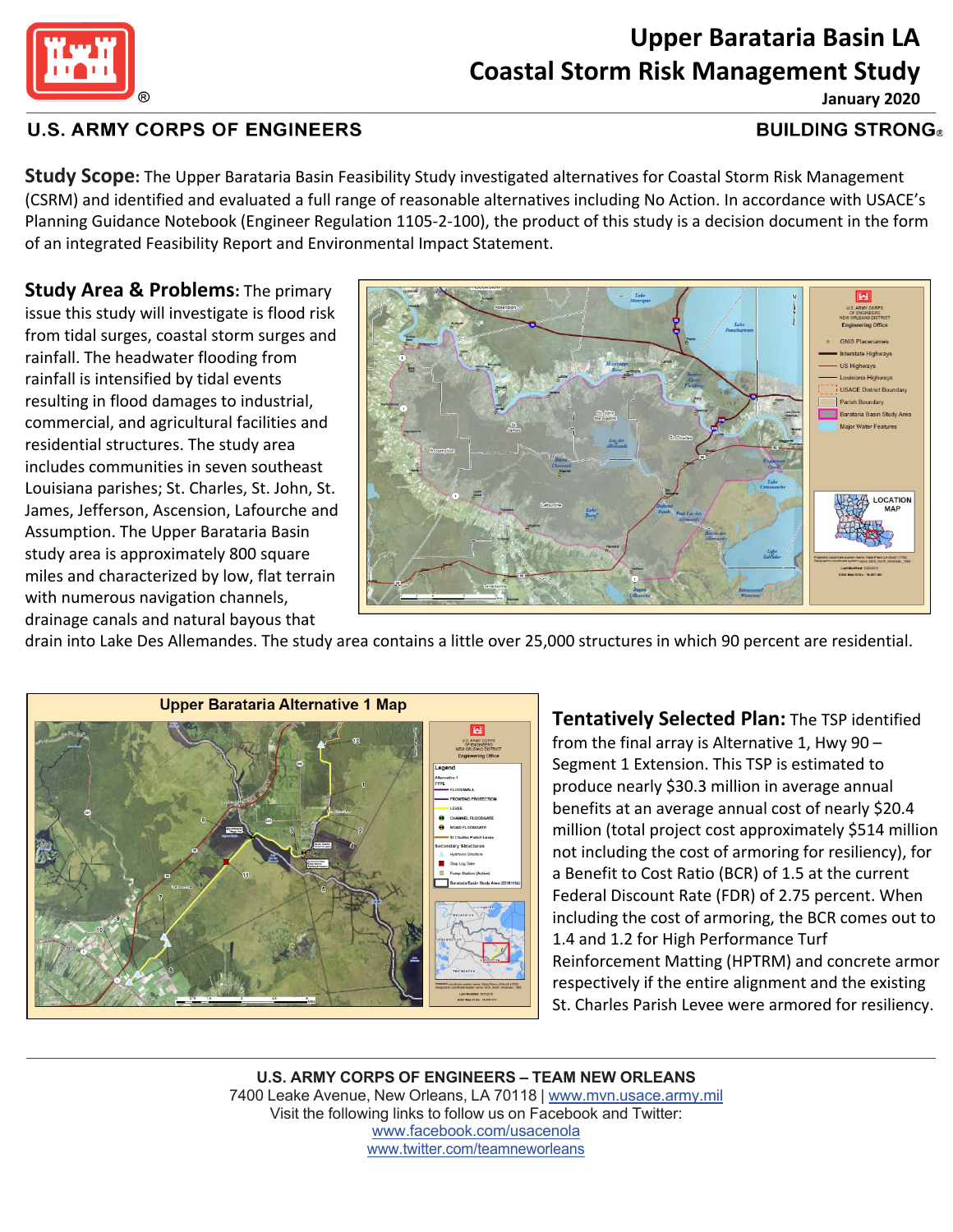

## **Upper Barataria Basin LA Coastal Storm Risk Management Study January 2020**

### **U.S. ARMY CORPS OF ENGINEERS**

#### **BUILDING STRONG**

**Study Scope:** The Upper Barataria Basin Feasibility Study investigated alternatives for Coastal Storm Risk Management (CSRM) and identified and evaluated a full range of reasonable alternatives including No Action. In accordance with USACE's Planning Guidance Notebook (Engineer Regulation 1105-2-100), the product of this study is a decision document in the form of an integrated Feasibility Report and Environmental Impact Statement.

**Study Area & Problems:** The primary issue this study will investigate is flood risk from tidal surges, coastal storm surges and rainfall. The headwater flooding from rainfall is intensified by tidal events resulting in flood damages to industrial, commercial, and agricultural facilities and residential structures. The study area includes communities in seven southeast Louisiana parishes; St. Charles, St. John, St. James, Jefferson, Ascension, Lafourche and Assumption. The Upper Barataria Basin study area is approximately 800 square miles and characterized by low, flat terrain with numerous navigation channels, drainage canals and natural bayous that



drain into Lake Des Allemandes. The study area contains a little over 25,000 structures in which 90 percent are residential.



**Tentatively Selected Plan:** The TSP identified from the final array is Alternative 1, Hwy 90 – Segment 1 Extension. This TSP is estimated to produce nearly \$30.3 million in average annual benefits at an average annual cost of nearly \$20.4 million (total project cost approximately \$514 million not including the cost of armoring for resiliency), for a Benefit to Cost Ratio (BCR) of 1.5 at the current Federal Discount Rate (FDR) of 2.75 percent. When including the cost of armoring, the BCR comes out to 1.4 and 1.2 for High Performance Turf Reinforcement Matting (HPTRM) and concrete armor respectively if the entire alignment and the existing St. Charles Parish Levee were armored for resiliency.

**U.S. ARMY CORPS OF ENGINEERS – TEAM NEW ORLEANS** 7400 Leake Avenue, New Orleans, LA 70118 | [www.mvn.usace.army.mil](http://www.mvn.usace.army.mil/) Visit the following links to follow us on Facebook and Twitter: www.facebook.com/usacenola [www.twitter.com/teamneworleans](http://www.twitter.com/teamneworleans)